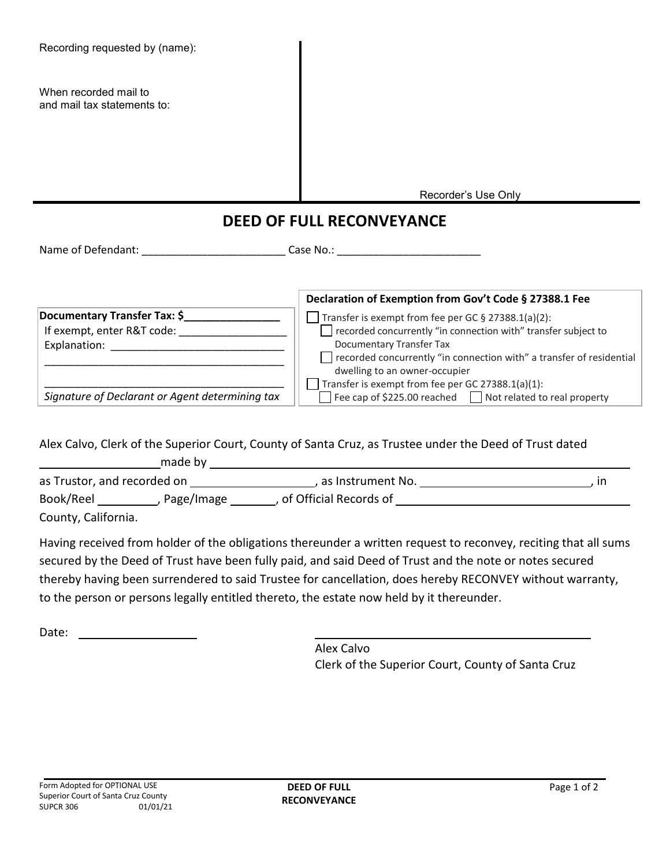| Recording requested by (name):                                                                                                                                                                                                 |                                                                                                                                                                                                                                                                                                                    |
|--------------------------------------------------------------------------------------------------------------------------------------------------------------------------------------------------------------------------------|--------------------------------------------------------------------------------------------------------------------------------------------------------------------------------------------------------------------------------------------------------------------------------------------------------------------|
| When recorded mail to<br>and mail tax statements to:                                                                                                                                                                           |                                                                                                                                                                                                                                                                                                                    |
|                                                                                                                                                                                                                                | Recorder's Use Only                                                                                                                                                                                                                                                                                                |
|                                                                                                                                                                                                                                |                                                                                                                                                                                                                                                                                                                    |
| <b>DEED OF FULL RECONVEYANCE</b>                                                                                                                                                                                               |                                                                                                                                                                                                                                                                                                                    |
|                                                                                                                                                                                                                                |                                                                                                                                                                                                                                                                                                                    |
|                                                                                                                                                                                                                                |                                                                                                                                                                                                                                                                                                                    |
|                                                                                                                                                                                                                                | Declaration of Exemption from Gov't Code § 27388.1 Fee                                                                                                                                                                                                                                                             |
| Documentary Transfer Tax: \$__________________<br>If exempt, enter R&T code: _____________________                                                                                                                             | Transfer is exempt from fee per GC $\S$ 27388.1(a)(2):<br>recorded concurrently "in connection with" transfer subject to<br>Documentary Transfer Tax<br>recorded concurrently "in connection with" a transfer of residential<br>dwelling to an owner-occupier<br>Transfer is exempt from fee per GC 27388.1(a)(1): |
| Signature of Declarant or Agent determining tax                                                                                                                                                                                | Fee cap of \$225.00 reached □ Not related to real property                                                                                                                                                                                                                                                         |
| made by the contract of the contract of the contract of the contract of the contract of the contract of the contract of the contract of the contract of the contract of the contract of the contract of the contract of the co | Alex Calvo, Clerk of the Superior Court, County of Santa Cruz, as Trustee under the Deed of Trust dated                                                                                                                                                                                                            |
| as Trustor, and recorded on                                                                                                                                                                                                    | . as Instrument No.<br>. in                                                                                                                                                                                                                                                                                        |

astor, and recorded o Book/Reel \_\_\_\_\_\_\_\_\_\_\_, Page/Image \_\_\_\_\_\_\_, of Official Records of \_\_\_\_\_\_\_\_\_\_\_\_\_ County, California.

Having received from holder of the obligations thereunder a written request to reconvey, reciting that all sums secured by the Deed of Trust have been fully paid, and said Deed of Trust and the note or notes secured thereby having been surrendered to said Trustee for cancellation, does hereby RECONVEY without warranty, to the person or persons legally entitled thereto, the estate now held by it thereunder.

Date:

Alex Calvo Clerk of the Superior Court, County of Santa Cruz